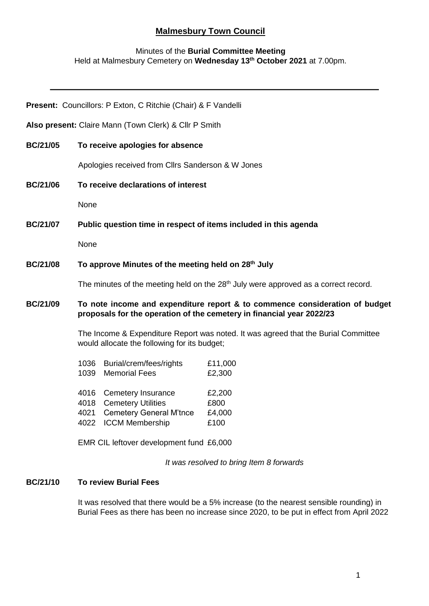# **Malmesbury Town Council**

#### Minutes of the **Burial Committee Meeting** Held at Malmesbury Cemetery on **Wednesday 13th October 2021** at 7.00pm.

|                                                       | Present: Councillors: P Exton, C Ritchie (Chair) & F Vandelli                                                                                                                   |
|-------------------------------------------------------|---------------------------------------------------------------------------------------------------------------------------------------------------------------------------------|
| Also present: Claire Mann (Town Clerk) & Cllr P Smith |                                                                                                                                                                                 |
| <b>BC/21/05</b>                                       | To receive apologies for absence                                                                                                                                                |
|                                                       | Apologies received from Cllrs Sanderson & W Jones                                                                                                                               |
| <b>BC/21/06</b>                                       | To receive declarations of interest                                                                                                                                             |
|                                                       | None                                                                                                                                                                            |
| <b>BC/21/07</b>                                       | Public question time in respect of items included in this agenda                                                                                                                |
|                                                       | None                                                                                                                                                                            |
| <b>BC/21/08</b>                                       | To approve Minutes of the meeting held on 28 <sup>th</sup> July                                                                                                                 |
|                                                       | The minutes of the meeting held on the 28 <sup>th</sup> July were approved as a correct record.                                                                                 |
| <b>BC/21/09</b>                                       | To note income and expenditure report & to commence consideration of budget<br>proposals for the operation of the cemetery in financial year 2022/23                            |
|                                                       | The Income & Expenditure Report was noted. It was agreed that the Burial Committee<br>would allocate the following for its budget;                                              |
|                                                       | Burial/crem/fees/rights<br>1036<br>£11,000<br>1039<br><b>Memorial Fees</b><br>£2,300                                                                                            |
|                                                       | Cemetery Insurance<br>4016<br>£2,200<br><b>Cemetery Utilities</b><br>£800<br>4018<br><b>Cemetery General M'tnce</b><br>4021<br>£4,000<br><b>ICCM Membership</b><br>4022<br>£100 |

EMR CIL leftover development fund £6,000

*It was resolved to bring Item 8 forwards*

## **BC/21/10 To review Burial Fees**

It was resolved that there would be a 5% increase (to the nearest sensible rounding) in Burial Fees as there has been no increase since 2020, to be put in effect from April 2022